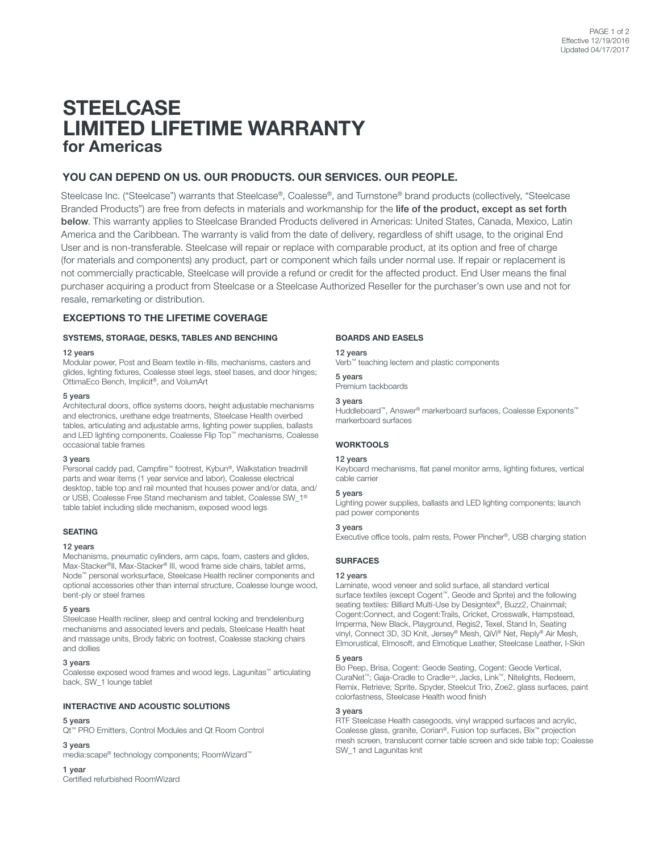# **STEELCASE** LIMITED LIFETIME WARRANTY for Americas

# YOU CAN DEPEND ON US. OUR PRODUCTS. OUR SERVICES. OUR PEOPLE.

Steelcase Inc. ("Steelcase") warrants that Steelcase®, Coalesse®, and Turnstone® brand products (collectively, "Steelcase Branded Products") are free from defects in materials and workmanship for the life of the product, except as set forth below. This warranty applies to Steelcase Branded Products delivered in Americas: United States, Canada, Mexico, Latin America and the Caribbean. The warranty is valid from the date of delivery, regardless of shift usage, to the original End User and is non-transferable. Steelcase will repair or replace with comparable product, at its option and free of charge (for materials and components) any product, part or component which fails under normal use. If repair or replacement is not commercially practicable, Steelcase will provide a refund or credit for the affected product. End User means the final purchaser acquiring a product from Steelcase or a Steelcase Authorized Reseller for the purchaser's own use and not for resale, remarketing or distribution.

# EXCEPTIONS TO THE LIFETIME COVERAGE

# SYSTEMS, STORAGE, DESKS, TABLES AND BENCHING

#### 12 years

Modular power, Post and Beam textile in-fills, mechanisms, casters and glides, lighting fixtures, Coalesse steel legs, steel bases, and door hinges; OttimaEco Bench, Implicit®, and VolumArt

#### 5 years

Architectural doors, office systems doors, height adjustable mechanisms and electronics, urethane edge treatments, Steelcase Health overbed tables, articulating and adjustable arms, lighting power supplies, ballasts and LED lighting components, Coalesse Flip Top™ mechanisms, Coalesse occasional table frames

### 3 years

Personal caddy pad, Campfire™ footrest, Kybun®, Walkstation treadmill parts and wear items (1 year service and labor), Coalesse electrical desktop, table top and rail mounted that houses power and/or data, and/ or USB, Coalesse Free Stand mechanism and tablet, Coalesse SW\_1® table tablet including slide mechanism, exposed wood legs

#### SEATING

#### 12 years

Mechanisms, pneumatic cylinders, arm caps, foam, casters and glides, Max-Stacker®II, Max-Stacker® III, wood frame side chairs, tablet arms, Node™ personal worksurface, Steelcase Health recliner components and optional accessories other than internal structure, Coalesse lounge wood, bent-ply or steel frames

#### 5 years

Steelcase Health recliner, sleep and central locking and trendelenburg mechanisms and associated levers and pedals, Steelcase Health heat and massage units, Brody fabric on footrest, Coalesse stacking chairs and dollies

# 3 years

Coalesse exposed wood frames and wood legs, Lagunitas™ articulating back, SW\_1 lounge tablet

## INTERACTIVE AND ACOUSTIC SOLUTIONS

## 5 years

Qt™ PRO Emitters, Control Modules and Qt Room Control

#### 3 years

media:scape® technology components; RoomWizard™

#### 1 year

Certified refurbished RoomWizard

# BOARDS AND EASELS

12 years

Verb™ teaching lectern and plastic components

5 years Premium tackboards

# 3 years

Huddleboard™, Answer® markerboard surfaces, Coalesse Exponents™ markerboard surfaces

# **WORKTOOLS**

#### 12 years

Keyboard mechanisms, flat panel monitor arms, lighting fixtures, vertical cable carrier

Lighting power supplies, ballasts and LED lighting components; launch

# 5 years pad power components

### 3 years

Executive office tools, palm rests, Power Pincher®, USB charging station

# **SURFACES**

#### 12 years

Laminate, wood veneer and solid surface, all standard vertical surface textiles (except Cogent™, Geode and Sprite) and the following seating textiles: Billiard Multi-Use by Designtex®, Buzz2, Chainmail; Cogent:Connect, and Cogent:Trails, Cricket, Crosswalk, Hampstead, Imperma, New Black, Playground, Regis2, Texel, Stand In, Seating vinyl, Connect 3D, 3D Knit, Jersey® Mesh, QiVi® Net, Reply® Air Mesh, Elmorustical, Elmosoft, and Elmotique Leather, Steelcase Leather, I-Skin

#### 5 years

Bo Peep, Brisa, Cogent: Geode Seating, Cogent: Geode Vertical, CuraNet<sup>™</sup>; Gaja-Cradle to Cradle<sup>cM</sup>, Jacks, Link™, Nitelights, Redeem, Remix, Retrieve; Sprite, Spyder, Steelcut Trio, Zoe2, glass surfaces, paint colorfastness, Steelcase Health wood finish

# 3 years

RTF Steelcase Health casegoods, vinyl wrapped surfaces and acrylic, Coalesse glass, granite, Corian®, Fusion top surfaces, Bix™ projection mesh screen, translucent corner table screen and side table top; Coalesse SW\_1 and Lagunitas knit